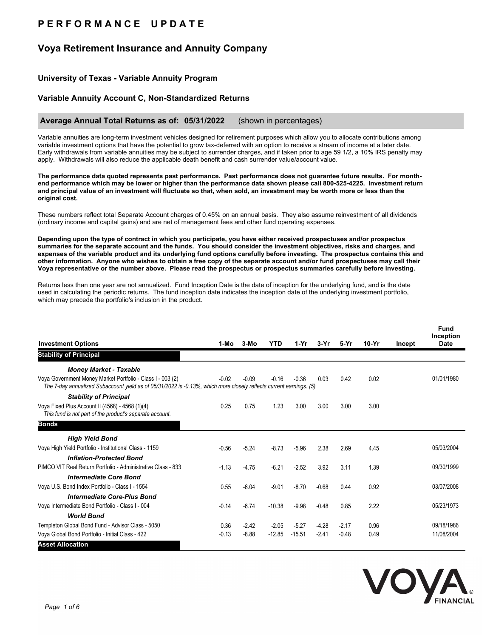# **P E R F O R M A N C E U P D A T E**

## **Voya Retirement Insurance and Annuity Company**

## **University of Texas - Variable Annuity Program**

### **Variable Annuity Account C, Non-Standardized Returns**

#### **Average Annual Total Returns as of: 05/31/2022** (shown in percentages)

Variable annuities are long-term investment vehicles designed for retirement purposes which allow you to allocate contributions among variable investment options that have the potential to grow tax-deferred with an option to receive a stream of income at a later date. Early withdrawals from variable annuities may be subject to surrender charges, and if taken prior to age 59 1/2, a 10% IRS penalty may apply. Withdrawals will also reduce the applicable death benefit and cash surrender value/account value.

**The performance data quoted represents past performance. Past performance does not guarantee future results. For monthend performance which may be lower or higher than the performance data shown please call 800-525-4225. Investment return and principal value of an investment will fluctuate so that, when sold, an investment may be worth more or less than the original cost.**

These numbers reflect total Separate Account charges of 0.45% on an annual basis. They also assume reinvestment of all dividends (ordinary income and capital gains) and are net of management fees and other fund operating expenses.

**Depending upon the type of contract in which you participate, you have either received prospectuses and/or prospectus summaries for the separate account and the funds. You should consider the investment objectives, risks and charges, and expenses of the variable product and its underlying fund options carefully before investing. The prospectus contains this and other information. Anyone who wishes to obtain a free copy of the separate account and/or fund prospectuses may call their Voya representative or the number above. Please read the prospectus or prospectus summaries carefully before investing.**

Returns less than one year are not annualized. Fund Inception Date is the date of inception for the underlying fund, and is the date used in calculating the periodic returns. The fund inception date indicates the inception date of the underlying investment portfolio, which may precede the portfolio's inclusion in the product.

| <b>Investment Options</b>                                                                                                                                                         | 1-Mo    | $3-MO$  | <b>YTD</b> | 1-Yr     | $3-Yr$  | 5-Yr    | $10-Yr$ | Incept | <b>Fund</b><br>Inception<br><b>Date</b> |
|-----------------------------------------------------------------------------------------------------------------------------------------------------------------------------------|---------|---------|------------|----------|---------|---------|---------|--------|-----------------------------------------|
| <b>Stability of Principal</b>                                                                                                                                                     |         |         |            |          |         |         |         |        |                                         |
| <b>Money Market - Taxable</b>                                                                                                                                                     |         |         |            |          |         |         |         |        |                                         |
| Voya Government Money Market Portfolio - Class I - 003 (2)<br>The 7-day annualized Subaccount yield as of 05/31/2022 is -0.13%, which more closely reflects current earnings. (5) | $-0.02$ | $-0.09$ | $-0.16$    | $-0.36$  | 0.03    | 0.42    | 0.02    |        | 01/01/1980                              |
| <b>Stability of Principal</b>                                                                                                                                                     |         |         |            |          |         |         |         |        |                                         |
| Voya Fixed Plus Account II (4568) - 4568 (1)(4)<br>This fund is not part of the product's separate account.                                                                       | 0.25    | 0.75    | 1.23       | 3.00     | 3.00    | 3.00    | 3.00    |        |                                         |
| <b>Bonds</b>                                                                                                                                                                      |         |         |            |          |         |         |         |        |                                         |
| <b>High Yield Bond</b>                                                                                                                                                            |         |         |            |          |         |         |         |        |                                         |
| Voya High Yield Portfolio - Institutional Class - 1159                                                                                                                            | $-0.56$ | $-5.24$ | $-8.73$    | $-5.96$  | 2.38    | 2.69    | 4.45    |        | 05/03/2004                              |
| <b>Inflation-Protected Bond</b>                                                                                                                                                   |         |         |            |          |         |         |         |        |                                         |
| PIMCO VIT Real Return Portfolio - Administrative Class - 833                                                                                                                      | $-1.13$ | $-4.75$ | $-6.21$    | $-2.52$  | 3.92    | 3.11    | 1.39    |        | 09/30/1999                              |
| <b>Intermediate Core Bond</b>                                                                                                                                                     |         |         |            |          |         |         |         |        |                                         |
| Voya U.S. Bond Index Portfolio - Class I - 1554                                                                                                                                   | 0.55    | $-6.04$ | $-9.01$    | $-8.70$  | $-0.68$ | 0.44    | 0.92    |        | 03/07/2008                              |
| <b>Intermediate Core-Plus Bond</b>                                                                                                                                                |         |         |            |          |         |         |         |        |                                         |
| Voya Intermediate Bond Portfolio - Class I - 004                                                                                                                                  | $-0.14$ | $-6.74$ | $-10.38$   | $-9.98$  | $-0.48$ | 0.85    | 2.22    |        | 05/23/1973                              |
| <b>World Bond</b>                                                                                                                                                                 |         |         |            |          |         |         |         |        |                                         |
| Templeton Global Bond Fund - Advisor Class - 5050                                                                                                                                 | 0.36    | $-2.42$ | $-2.05$    | $-5.27$  | $-4.28$ | $-2.17$ | 0.96    |        | 09/18/1986                              |
| Voya Global Bond Portfolio - Initial Class - 422                                                                                                                                  | $-0.13$ | $-8.88$ | $-12.85$   | $-15.51$ | $-2.41$ | $-0.48$ | 0.49    |        | 11/08/2004                              |
| <b>Asset Allocation</b>                                                                                                                                                           |         |         |            |          |         |         |         |        |                                         |

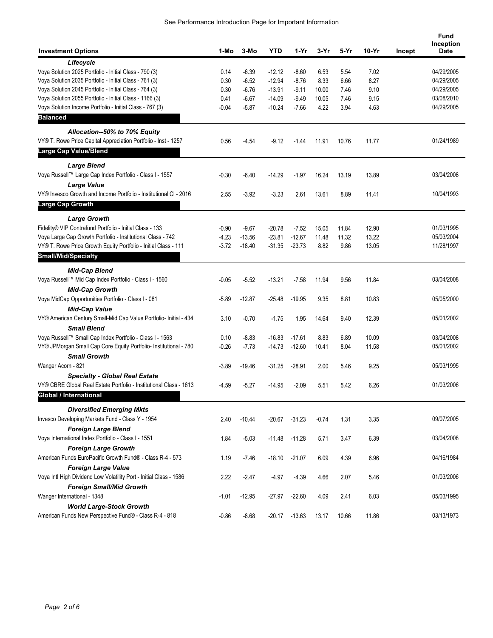| <b>Investment Options</b>                                                                      | 1-Mo    | 3-Mo     | <b>YTD</b> | 1-Yr     | 3-Yr    | 5-Yr  | $10-Yr$ | Incept | <b>Fund</b><br>Inception<br><b>Date</b> |
|------------------------------------------------------------------------------------------------|---------|----------|------------|----------|---------|-------|---------|--------|-----------------------------------------|
| Lifecycle                                                                                      |         |          |            |          |         |       |         |        |                                         |
| Voya Solution 2025 Portfolio - Initial Class - 790 (3)                                         | 0.14    | $-6.39$  | $-12.12$   | $-8.60$  | 6.53    | 5.54  | 7.02    |        | 04/29/2005                              |
| Voya Solution 2035 Portfolio - Initial Class - 761 (3)                                         | 0.30    | $-6.52$  | $-12.94$   | $-8.76$  | 8.33    | 6.66  | 8.27    |        | 04/29/2005                              |
| Voya Solution 2045 Portfolio - Initial Class - 764 (3)                                         | 0.30    | $-6.76$  | $-13.91$   | $-9.11$  | 10.00   | 7.46  | 9.10    |        | 04/29/2005                              |
| Voya Solution 2055 Portfolio - Initial Class - 1166 (3)                                        | 0.41    | $-6.67$  | $-14.09$   | $-9.49$  | 10.05   | 7.46  | 9.15    |        | 03/08/2010                              |
| Voya Solution Income Portfolio - Initial Class - 767 (3)                                       | $-0.04$ | $-5.87$  | $-10.24$   | $-7.66$  | 4.22    | 3.94  | 4.63    |        | 04/29/2005                              |
| <b>Balanced</b>                                                                                |         |          |            |          |         |       |         |        |                                         |
| Allocation--50% to 70% Equity                                                                  |         |          |            |          |         |       |         |        |                                         |
| VY® T. Rowe Price Capital Appreciation Portfolio - Inst - 1257<br><b>Large Cap Value/Blend</b> | 0.56    | $-4.54$  | $-9.12$    | $-1.44$  | 11.91   | 10.76 | 11.77   |        | 01/24/1989                              |
| <b>Large Blend</b>                                                                             |         |          |            |          |         |       |         |        |                                         |
| Voya Russell™ Large Cap Index Portfolio - Class I - 1557                                       | $-0.30$ | $-6.40$  | $-14.29$   | $-1.97$  | 16.24   | 13.19 | 13.89   |        | 03/04/2008                              |
| <b>Large Value</b>                                                                             |         |          |            |          |         |       |         |        |                                         |
| VY® Invesco Growth and Income Portfolio - Institutional CI - 2016                              | 2.55    | $-3.92$  | $-3.23$    | 2.61     | 13.61   | 8.89  | 11.41   |        | 10/04/1993                              |
| <b>Large Cap Growth</b>                                                                        |         |          |            |          |         |       |         |        |                                         |
| <b>Large Growth</b>                                                                            |         |          |            |          |         |       |         |        |                                         |
| Fidelity® VIP Contrafund Portfolio - Initial Class - 133                                       | $-0.90$ | $-9.67$  | $-20.78$   | $-7.52$  | 15.05   | 11.84 | 12.90   |        | 01/03/1995                              |
| Voya Large Cap Growth Portfolio - Institutional Class - 742                                    | $-4.23$ | $-13.56$ | $-23.81$   | $-12.67$ | 11.48   | 11.32 | 13.22   |        | 05/03/2004                              |
| VY® T. Rowe Price Growth Equity Portfolio - Initial Class - 111                                | $-3.72$ | $-18.40$ | $-31.35$   | $-23.73$ | 8.82    | 9.86  | 13.05   |        | 11/28/1997                              |
| <b>Small/Mid/Specialty</b>                                                                     |         |          |            |          |         |       |         |        |                                         |
| <b>Mid-Cap Blend</b>                                                                           |         |          |            |          |         |       |         |        |                                         |
| Voya Russell™ Mid Cap Index Portfolio - Class I - 1560                                         | $-0.05$ | $-5.52$  | $-13.21$   | $-7.58$  | 11.94   | 9.56  | 11.84   |        | 03/04/2008                              |
| <b>Mid-Cap Growth</b>                                                                          |         |          |            |          |         |       |         |        |                                         |
| Voya MidCap Opportunities Portfolio - Class I - 081                                            | $-5.89$ | $-12.87$ | $-25.48$   | $-19.95$ | 9.35    | 8.81  | 10.83   |        | 05/05/2000                              |
| <b>Mid-Cap Value</b>                                                                           |         |          |            |          |         |       |         |        |                                         |
| VY® American Century Small-Mid Cap Value Portfolio- Initial - 434                              | 3.10    | $-0.70$  | $-1.75$    | 1.95     | 14.64   | 9.40  | 12.39   |        | 05/01/2002                              |
| <b>Small Blend</b>                                                                             |         |          |            |          |         |       |         |        |                                         |
| Voya Russell™ Small Cap Index Portfolio - Class I - 1563                                       | 0.10    | $-8.83$  | $-16.83$   | $-17.61$ | 8.83    | 6.89  | 10.09   |        | 03/04/2008                              |
| VY® JPMorgan Small Cap Core Equity Portfolio- Institutional - 780                              | $-0.26$ | $-7.73$  | $-14.73$   | $-12.60$ | 10.41   | 8.04  | 11.58   |        | 05/01/2002                              |
| <b>Small Growth</b>                                                                            |         |          |            |          |         |       |         |        |                                         |
| Wanger Acorn - 821                                                                             | $-3.89$ | $-19.46$ | $-31.25$   | $-28.91$ | 2.00    | 5.46  | 9.25    |        | 05/03/1995                              |
| <b>Specialty - Global Real Estate</b>                                                          |         |          |            |          |         |       |         |        |                                         |
| VY® CBRE Global Real Estate Portfolio - Institutional Class - 1613                             | $-4.59$ | $-5.27$  | $-14.95$   | $-2.09$  | 5.51    | 5.42  | 6.26    |        | 01/03/2006                              |
| Global / International                                                                         |         |          |            |          |         |       |         |        |                                         |
| <b>Diversified Emerging Mkts</b>                                                               |         |          |            |          |         |       |         |        |                                         |
| Invesco Developing Markets Fund - Class Y - 1954                                               | 2.40    | $-10.44$ | $-20.67$   | $-31.23$ | $-0.74$ | 1.31  | 3.35    |        | 09/07/2005                              |
| <b>Foreign Large Blend</b>                                                                     |         |          |            |          |         |       |         |        |                                         |
| Voya International Index Portfolio - Class I - 1551                                            | 1.84    | $-5.03$  | $-11.48$   | $-11.28$ | 5.71    | 3.47  | 6.39    |        | 03/04/2008                              |
| <b>Foreign Large Growth</b>                                                                    |         |          |            |          |         |       |         |        |                                         |
| American Funds EuroPacific Growth Fund® - Class R-4 - 573                                      | 1.19    | $-7.46$  | $-18.10$   | $-21.07$ | 6.09    | 4.39  | 6.96    |        | 04/16/1984                              |
| <b>Foreign Large Value</b>                                                                     |         |          |            |          |         |       |         |        |                                         |
| Voya Intl High Dividend Low Volatility Port - Initial Class - 1586                             | 2.22    | $-2.47$  | $-4.97$    | $-4.39$  | 4.66    | 2.07  | 5.46    |        | 01/03/2006                              |
| <b>Foreign Small/Mid Growth</b>                                                                |         |          |            |          |         |       |         |        |                                         |
| Wanger International - 1348                                                                    | $-1.01$ | $-12.95$ | -27.97     | $-22.60$ | 4.09    | 2.41  | 6.03    |        | 05/03/1995                              |
| <b>World Large-Stock Growth</b>                                                                |         |          |            |          |         |       |         |        |                                         |
| American Funds New Perspective Fund® - Class R-4 - 818                                         | $-0.86$ | $-8.68$  | $-20.17$   | $-13.63$ | 13.17   | 10.66 | 11.86   |        | 03/13/1973                              |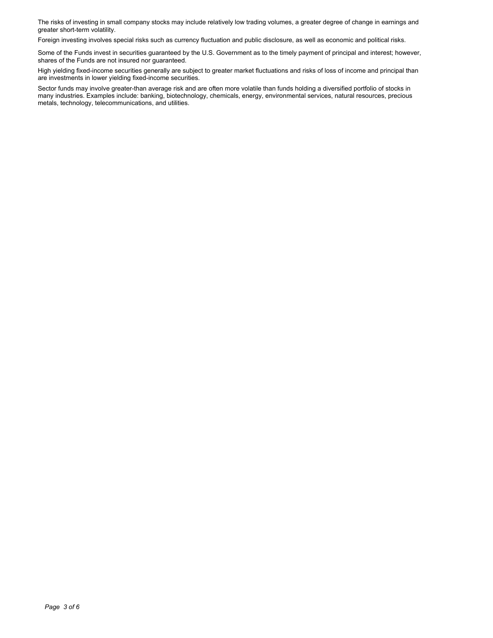The risks of investing in small company stocks may include relatively low trading volumes, a greater degree of change in earnings and greater short-term volatility.

Foreign investing involves special risks such as currency fluctuation and public disclosure, as well as economic and political risks.

Some of the Funds invest in securities guaranteed by the U.S. Government as to the timely payment of principal and interest; however, shares of the Funds are not insured nor guaranteed.

High yielding fixed-income securities generally are subject to greater market fluctuations and risks of loss of income and principal than are investments in lower yielding fixed-income securities.

Sector funds may involve greater-than average risk and are often more volatile than funds holding a diversified portfolio of stocks in many industries. Examples include: banking, biotechnology, chemicals, energy, environmental services, natural resources, precious metals, technology, telecommunications, and utilities.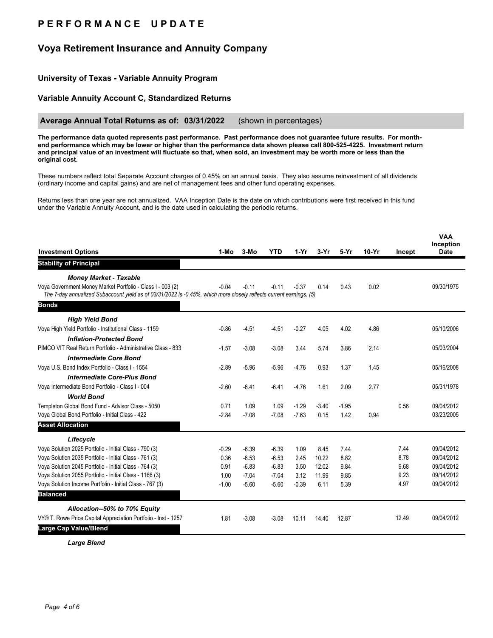# **P E R F O R M A N C E U P D A T E**

## **Voya Retirement Insurance and Annuity Company**

## **University of Texas - Variable Annuity Program**

### **Variable Annuity Account C, Standardized Returns**

#### **Average Annual Total Returns as of: 03/31/2022** (shown in percentages)

**The performance data quoted represents past performance. Past performance does not guarantee future results. For monthend performance which may be lower or higher than the performance data shown please call 800-525-4225. Investment return and principal value of an investment will fluctuate so that, when sold, an investment may be worth more or less than the original cost.**

These numbers reflect total Separate Account charges of 0.45% on an annual basis. They also assume reinvestment of all dividends (ordinary income and capital gains) and are net of management fees and other fund operating expenses.

Returns less than one year are not annualized. VAA Inception Date is the date on which contributions were first received in this fund under the Variable Annuity Account, and is the date used in calculating the periodic returns.

|                                                                                                                                                                                   |         |         |            |         |         |         |         |        | <b>VAA</b><br>Inception |
|-----------------------------------------------------------------------------------------------------------------------------------------------------------------------------------|---------|---------|------------|---------|---------|---------|---------|--------|-------------------------|
| <b>Investment Options</b>                                                                                                                                                         | 1-Mo    | $3-MO$  | <b>YTD</b> | $1-Yr$  | 3-Yr    | $5-Yr$  | $10-Yr$ | Incept | <b>Date</b>             |
| <b>Stability of Principal</b>                                                                                                                                                     |         |         |            |         |         |         |         |        |                         |
| <b>Money Market - Taxable</b>                                                                                                                                                     |         |         |            |         |         |         |         |        |                         |
| Voya Government Money Market Portfolio - Class I - 003 (2)<br>The 7-day annualized Subaccount yield as of 03/31/2022 is -0.45%, which more closely reflects current earnings. (5) | $-0.04$ | $-0.11$ | $-0.11$    | $-0.37$ | 0.14    | 0.43    | 0.02    |        | 09/30/1975              |
| <b>Bonds</b>                                                                                                                                                                      |         |         |            |         |         |         |         |        |                         |
| <b>High Yield Bond</b>                                                                                                                                                            |         |         |            |         |         |         |         |        |                         |
| Voya High Yield Portfolio - Institutional Class - 1159                                                                                                                            | $-0.86$ | $-4.51$ | $-4.51$    | $-0.27$ | 4.05    | 4.02    | 4.86    |        | 05/10/2006              |
| <b>Inflation-Protected Bond</b>                                                                                                                                                   |         |         |            |         |         |         |         |        |                         |
| PIMCO VIT Real Return Portfolio - Administrative Class - 833                                                                                                                      | $-1.57$ | $-3.08$ | $-3.08$    | 3.44    | 5.74    | 3.86    | 2.14    |        | 05/03/2004              |
| <b>Intermediate Core Bond</b>                                                                                                                                                     |         |         |            |         |         |         |         |        |                         |
| Voya U.S. Bond Index Portfolio - Class I - 1554                                                                                                                                   | $-2.89$ | $-5.96$ | $-5.96$    | $-4.76$ | 0.93    | 1.37    | 1.45    |        | 05/16/2008              |
| <b>Intermediate Core-Plus Bond</b>                                                                                                                                                |         |         |            |         |         |         |         |        |                         |
| Voya Intermediate Bond Portfolio - Class I - 004                                                                                                                                  | $-2.60$ | $-6.41$ | $-6.41$    | $-4.76$ | 1.61    | 2.09    | 2.77    |        | 05/31/1978              |
| <b>World Bond</b>                                                                                                                                                                 |         |         |            |         |         |         |         |        |                         |
| Templeton Global Bond Fund - Advisor Class - 5050                                                                                                                                 | 0.71    | 1.09    | 1.09       | $-1.29$ | $-3.40$ | $-1.95$ |         | 0.56   | 09/04/2012              |
| Voya Global Bond Portfolio - Initial Class - 422                                                                                                                                  | $-2.84$ | $-7.08$ | $-7.08$    | $-7.63$ | 0.15    | 1.42    | 0.94    |        | 03/23/2005              |
| <b>Asset Allocation</b>                                                                                                                                                           |         |         |            |         |         |         |         |        |                         |
| Lifecycle                                                                                                                                                                         |         |         |            |         |         |         |         |        |                         |
| Voya Solution 2025 Portfolio - Initial Class - 790 (3)                                                                                                                            | $-0.29$ | $-6.39$ | $-6.39$    | 1.09    | 8.45    | 7.44    |         | 7.44   | 09/04/2012              |
| Voya Solution 2035 Portfolio - Initial Class - 761 (3)                                                                                                                            | 0.36    | $-6.53$ | $-6.53$    | 2.45    | 10.22   | 8.82    |         | 8.78   | 09/04/2012              |
| Voya Solution 2045 Portfolio - Initial Class - 764 (3)                                                                                                                            | 0.91    | $-6.83$ | $-6.83$    | 3.50    | 12.02   | 9.84    |         | 9.68   | 09/04/2012              |
| Voya Solution 2055 Portfolio - Initial Class - 1166 (3)                                                                                                                           | 1.00    | $-7.04$ | $-7.04$    | 3.12    | 11.99   | 9.85    |         | 9.23   | 09/14/2012              |
| Voya Solution Income Portfolio - Initial Class - 767 (3)                                                                                                                          | $-1.00$ | $-5.60$ | $-5.60$    | $-0.39$ | 6.11    | 5.39    |         | 4.97   | 09/04/2012              |
| <b>Balanced</b>                                                                                                                                                                   |         |         |            |         |         |         |         |        |                         |
| Allocation--50% to 70% Equity                                                                                                                                                     |         |         |            |         |         |         |         |        |                         |
| VY® T. Rowe Price Capital Appreciation Portfolio - Inst - 1257                                                                                                                    | 1.81    | $-3.08$ | $-3.08$    | 10.11   | 14.40   | 12.87   |         | 12.49  | 09/04/2012              |
| Large Cap Value/Blend                                                                                                                                                             |         |         |            |         |         |         |         |        |                         |

*Large Blend*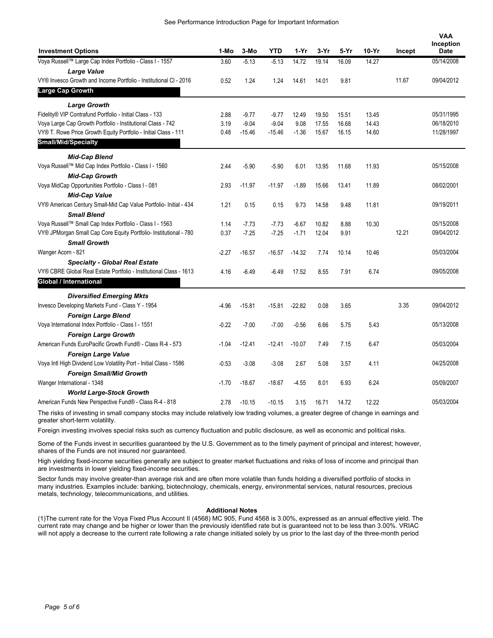| <b>Investment Options</b>                                          | 1-Mo    | 3-Mo     | <b>YTD</b> | $1-Yr$   | $3-Yr$ | 5-Yr  | $10-Yr$ | Incept | <b>VAA</b><br>Inception<br><b>Date</b> |
|--------------------------------------------------------------------|---------|----------|------------|----------|--------|-------|---------|--------|----------------------------------------|
| Voya Russell™ Large Cap Index Portfolio - Class I - 1557           | 3.60    | $-5.13$  | $-5.13$    | 14.72    | 19.14  | 16.09 | 14.27   |        | 05/14/2008                             |
| <b>Large Value</b>                                                 |         |          |            |          |        |       |         |        |                                        |
| VY® Invesco Growth and Income Portfolio - Institutional CI - 2016  | 0.52    | 1.24     | 1.24       | 14.61    | 14.01  | 9.81  |         | 11.67  | 09/04/2012                             |
| Large Cap Growth                                                   |         |          |            |          |        |       |         |        |                                        |
| <b>Large Growth</b>                                                |         |          |            |          |        |       |         |        |                                        |
| Fidelity® VIP Contrafund Portfolio - Initial Class - 133           | 2.88    | $-9.77$  | $-9.77$    | 12.49    | 19.50  | 15.51 | 13.45   |        | 05/31/1995                             |
| Voya Large Cap Growth Portfolio - Institutional Class - 742        | 3.19    | $-9.04$  | $-9.04$    | 9.08     | 17.55  | 16.68 | 14.43   |        | 06/18/2010                             |
| VY® T. Rowe Price Growth Equity Portfolio - Initial Class - 111    | 0.48    | $-15.46$ | $-15.46$   | $-1.36$  | 15.67  | 16.15 | 14.60   |        | 11/28/1997                             |
| <b>Small/Mid/Specialty</b>                                         |         |          |            |          |        |       |         |        |                                        |
| <b>Mid-Cap Blend</b>                                               |         |          |            |          |        |       |         |        |                                        |
| Voya Russell™ Mid Cap Index Portfolio - Class I - 1560             | 2.44    | $-5.90$  | $-5.90$    | 6.01     | 13.95  | 11.68 | 11.93   |        | 05/15/2008                             |
| <b>Mid-Cap Growth</b>                                              |         |          |            |          |        |       |         |        |                                        |
| Voya MidCap Opportunities Portfolio - Class I - 081                | 2.93    | $-11.97$ | $-11.97$   | $-1.89$  | 15.66  | 13.41 | 11.89   |        | 08/02/2001                             |
| <b>Mid-Cap Value</b>                                               |         |          |            |          |        |       |         |        |                                        |
| VY® American Century Small-Mid Cap Value Portfolio- Initial - 434  | 1.21    | 0.15     | 0.15       | 9.73     | 14.58  | 9.48  | 11.81   |        | 09/19/2011                             |
| <b>Small Blend</b>                                                 |         |          |            |          |        |       |         |        |                                        |
| Voya Russell™ Small Cap Index Portfolio - Class I - 1563           | 1.14    | $-7.73$  | $-7.73$    | $-6.67$  | 10.82  | 8.88  | 10.30   |        | 05/15/2008                             |
| VY® JPMorgan Small Cap Core Equity Portfolio- Institutional - 780  | 0.37    | $-7.25$  | $-7.25$    | $-1.71$  | 12.04  | 9.91  |         | 12.21  | 09/04/2012                             |
| <b>Small Growth</b>                                                |         |          |            |          |        |       |         |        |                                        |
| Wanger Acorn - 821                                                 | $-2.27$ | $-16.57$ | $-16.57$   | $-14.32$ | 7.74   | 10.14 | 10.46   |        | 05/03/2004                             |
| <b>Specialty - Global Real Estate</b>                              |         |          |            |          |        |       |         |        |                                        |
| VY® CBRE Global Real Estate Portfolio - Institutional Class - 1613 | 4.16    | $-6.49$  | $-6.49$    | 17.52    | 8.55   | 7.91  | 6.74    |        | 09/05/2008                             |
| <b>Global / International</b>                                      |         |          |            |          |        |       |         |        |                                        |
| <b>Diversified Emerging Mkts</b>                                   |         |          |            |          |        |       |         |        |                                        |
| Invesco Developing Markets Fund - Class Y - 1954                   | $-4.96$ | $-15.81$ | $-15.81$   | $-22.82$ | 0.08   | 3.65  |         | 3.35   | 09/04/2012                             |
| <b>Foreign Large Blend</b>                                         |         |          |            |          |        |       |         |        |                                        |
| Voya International Index Portfolio - Class I - 1551                | $-0.22$ | $-7.00$  | $-7.00$    | $-0.56$  | 6.66   | 5.75  | 5.43    |        | 05/13/2008                             |
| <b>Foreign Large Growth</b>                                        |         |          |            |          |        |       |         |        |                                        |
| American Funds EuroPacific Growth Fund® - Class R-4 - 573          | $-1.04$ | $-12.41$ | $-12.41$   | $-10.07$ | 7.49   | 7.15  | 6.47    |        | 05/03/2004                             |
| <b>Foreign Large Value</b>                                         |         |          |            |          |        |       |         |        |                                        |
| Voya Intl High Dividend Low Volatility Port - Initial Class - 1586 | $-0.53$ | $-3.08$  | $-3.08$    | 2.67     | 5.08   | 3.57  | 4.11    |        | 04/25/2008                             |
| <b>Foreign Small/Mid Growth</b>                                    |         |          |            |          |        |       |         |        |                                        |
| Wanger International - 1348                                        | $-1.70$ | $-18.67$ | $-18.67$   | $-4.55$  | 8.01   | 6.93  | 6.24    |        | 05/09/2007                             |
| <b>World Large-Stock Growth</b>                                    |         |          |            |          |        |       |         |        |                                        |
| American Funds New Perspective Fund® - Class R-4 - 818             | 2.78    | $-10.15$ | $-10.15$   | 3.15     | 16.71  | 14.72 | 12.22   |        | 05/03/2004                             |

The risks of investing in small company stocks may include relatively low trading volumes, a greater degree of change in earnings and greater short-term volatility.

Foreign investing involves special risks such as currency fluctuation and public disclosure, as well as economic and political risks.

Some of the Funds invest in securities guaranteed by the U.S. Government as to the timely payment of principal and interest; however, shares of the Funds are not insured nor guaranteed.

High yielding fixed-income securities generally are subject to greater market fluctuations and risks of loss of income and principal than are investments in lower yielding fixed-income securities.

Sector funds may involve greater-than average risk and are often more volatile than funds holding a diversified portfolio of stocks in many industries. Examples include: banking, biotechnology, chemicals, energy, environmental services, natural resources, precious metals, technology, telecommunications, and utilities.

#### **Additional Notes**

(1)The current rate for the Voya Fixed Plus Account II (4568) MC 905, Fund 4568 is 3.00%, expressed as an annual effective yield. The current rate may change and be higher or lower than the previously identified rate but is guaranteed not to be less than 3.00%. VRIAC will not apply a decrease to the current rate following a rate change initiated solely by us prior to the last day of the three-month period